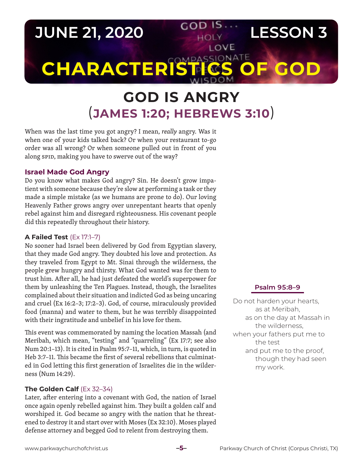# **JUNE 21, 2020 LESSON 3** LOVE **CHARACTERIST COMPASSIONATE**

# **GOD IS ANGRY** (**JAMES 1:20; HEBREWS 3:10**)

When was the last time you got angry? I mean, *really* angry. Was it when one of your kids talked back? Or when your restaurant to-go order was all wrong? Or when someone pulled out in front of you along SPID, making you have to swerve out of the way?

## **Israel Made God Angry**

Do you know what makes God angry? Sin. He doesn't grow impatient with someone because they're slow at performing a task or they made a simple mistake (as we humans are prone to do). Our loving Heavenly Father grows angry over unrepentant hearts that openly rebel against him and disregard righteousness. His covenant people did this repeatedly throughout their history.

### **A Failed Test** (Ex 17:1–7)

No sooner had Israel been delivered by God from Egyptian slavery, that they made God angry. They doubted his love and protection. As they traveled from Egypt to Mt. Sinai through the wilderness, the people grew hungry and thirsty. What God wanted was for them to trust him. After all, he had just defeated the world's superpower for them by unleashing the Ten Plagues. Instead, though, the Israelites complained about their situation and indicted God as being uncaring and cruel (Ex 16:2–3; 17:2–3). God, of course, miraculously provided food (manna) and water to them, but he was terribly disappointed with their ingratitude and unbelief in his love for them.

This event was commemorated by naming the location Massah (and Meribah, which mean, "testing" and "quarreling" (Ex 17:7; see also Num 20:1–13). It is cited in Psalm 95:7–11, which, in turn, is quoted in Heb 3:7–11. This became the first of several rebellions that culminated in God letting this first generation of Israelites die in the wilderness (Num 14:29).

### **The Golden Calf** (Ex 32–34)

Later, after entering into a covenant with God, the nation of Israel once again openly rebelled against him. They built a golden calf and worshiped it. God became so angry with the nation that he threatened to destroy it and start over with Moses (Ex 32:10). Moses played defense attorney and begged God to relent from destroying them.

### **Psalm 95:8–9**

Do not harden your hearts, as at Meribah, as on the day at Massah in the wilderness, when your fathers put me to the test and put me to the proof, though they had seen my work.